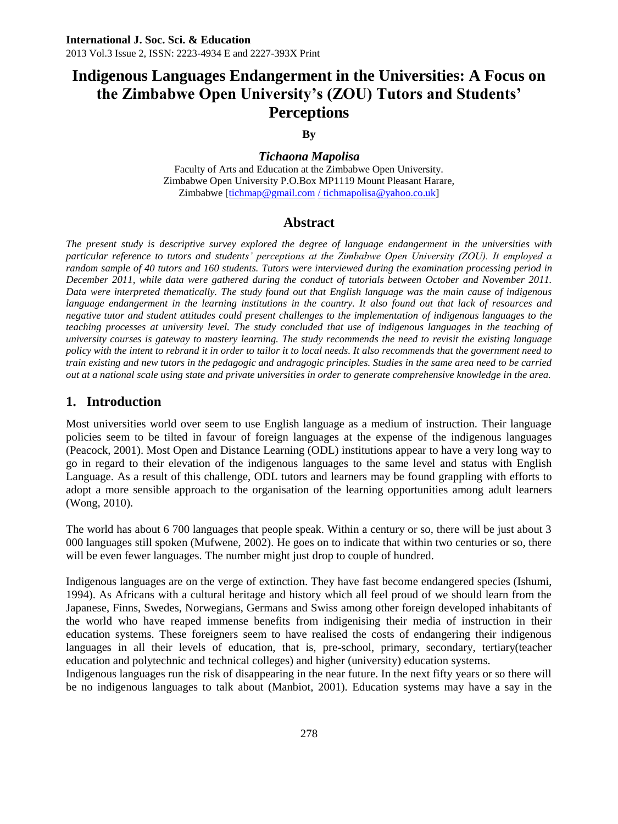# **Indigenous Languages Endangerment in the Universities: A Focus on the Zimbabwe Open University's (ZOU) Tutors and Students' Perceptions**

#### **By**

*Tichaona Mapolisa* Faculty of Arts and Education at the Zimbabwe Open University. Zimbabwe Open University P.O.Box MP1119 Mount Pleasant Harare, Zimbabwe [\[tichmap@gmail.com](mailto:tichmap@gmail.com) [/ tichmapolisa@yahoo.co.uk\]](mailto:/%20tichmapolisa@yahoo.co.uk)

#### **Abstract**

*The present study is descriptive survey explored the degree of language endangerment in the universities with particular reference to tutors and students' perceptions at the Zimbabwe Open University (ZOU). It employed a random sample of 40 tutors and 160 students. Tutors were interviewed during the examination processing period in December 2011, while data were gathered during the conduct of tutorials between October and November 2011. Data were interpreted thematically. The study found out that English language was the main cause of indigenous*  language endangerment in the learning institutions in the country. It also found out that lack of resources and *negative tutor and student attitudes could present challenges to the implementation of indigenous languages to the teaching processes at university level. The study concluded that use of indigenous languages in the teaching of university courses is gateway to mastery learning. The study recommends the need to revisit the existing language policy with the intent to rebrand it in order to tailor it to local needs. It also recommends that the government need to train existing and new tutors in the pedagogic and andragogic principles. Studies in the same area need to be carried out at a national scale using state and private universities in order to generate comprehensive knowledge in the area.*

## **1. Introduction**

Most universities world over seem to use English language as a medium of instruction. Their language policies seem to be tilted in favour of foreign languages at the expense of the indigenous languages (Peacock, 2001). Most Open and Distance Learning (ODL) institutions appear to have a very long way to go in regard to their elevation of the indigenous languages to the same level and status with English Language. As a result of this challenge, ODL tutors and learners may be found grappling with efforts to adopt a more sensible approach to the organisation of the learning opportunities among adult learners (Wong, 2010).

The world has about 6 700 languages that people speak. Within a century or so, there will be just about 3 000 languages still spoken (Mufwene, 2002). He goes on to indicate that within two centuries or so, there will be even fewer languages. The number might just drop to couple of hundred.

Indigenous languages are on the verge of extinction. They have fast become endangered species (Ishumi, 1994). As Africans with a cultural heritage and history which all feel proud of we should learn from the Japanese, Finns, Swedes, Norwegians, Germans and Swiss among other foreign developed inhabitants of the world who have reaped immense benefits from indigenising their media of instruction in their education systems. These foreigners seem to have realised the costs of endangering their indigenous languages in all their levels of education, that is, pre-school, primary, secondary, tertiary(teacher education and polytechnic and technical colleges) and higher (university) education systems.

Indigenous languages run the risk of disappearing in the near future. In the next fifty years or so there will be no indigenous languages to talk about (Manbiot, 2001). Education systems may have a say in the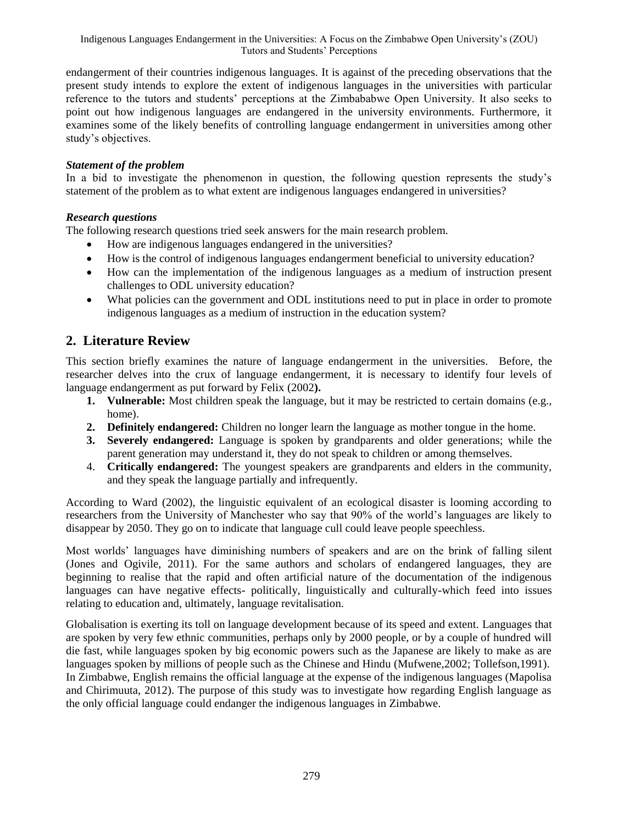Indigenous Languages Endangerment in the Universities: A Focus on the Zimbabwe Open University's (ZOU) Tutors and Students' Perceptions

endangerment of their countries indigenous languages. It is against of the preceding observations that the present study intends to explore the extent of indigenous languages in the universities with particular reference to the tutors and students' perceptions at the Zimbababwe Open University. It also seeks to point out how indigenous languages are endangered in the university environments. Furthermore, it examines some of the likely benefits of controlling language endangerment in universities among other study's objectives.

#### *Statement of the problem*

In a bid to investigate the phenomenon in question, the following question represents the study's statement of the problem as to what extent are indigenous languages endangered in universities?

#### *Research questions*

The following research questions tried seek answers for the main research problem.

- How are indigenous languages endangered in the universities?
- How is the control of indigenous languages endangerment beneficial to university education?
- How can the implementation of the indigenous languages as a medium of instruction present challenges to ODL university education?
- What policies can the government and ODL institutions need to put in place in order to promote indigenous languages as a medium of instruction in the education system?

## **2. Literature Review**

This section briefly examines the nature of language endangerment in the universities. Before, the researcher delves into the crux of language endangerment, it is necessary to identify four levels of language endangerment as put forward by Felix (2002**).**

- **1. Vulnerable:** Most children speak the language, but it may be restricted to certain domains (e.g., home).
- **2. Definitely endangered:** Children no longer learn the language as mother tongue in the home.
- **3. Severely endangered:** Language is spoken by grandparents and older generations; while the parent generation may understand it, they do not speak to children or among themselves.
- 4. **Critically endangered:** The youngest speakers are grandparents and elders in the community, and they speak the language partially and infrequently.

According to Ward (2002), the linguistic equivalent of an ecological disaster is looming according to researchers from the University of Manchester who say that 90% of the world's languages are likely to disappear by 2050. They go on to indicate that language cull could leave people speechless.

Most worlds' languages have diminishing numbers of speakers and are on the brink of falling silent (Jones and Ogivile, 2011). For the same authors and scholars of endangered languages, they are beginning to realise that the rapid and often artificial nature of the documentation of the indigenous languages can have negative effects- politically, linguistically and culturally-which feed into issues relating to education and, ultimately, language revitalisation.

Globalisation is exerting its toll on language development because of its speed and extent. Languages that are spoken by very few ethnic communities, perhaps only by 2000 people, or by a couple of hundred will die fast, while languages spoken by big economic powers such as the Japanese are likely to make as are languages spoken by millions of people such as the Chinese and Hindu (Mufwene,2002; Tollefson,1991). In Zimbabwe, English remains the official language at the expense of the indigenous languages (Mapolisa and Chirimuuta, 2012). The purpose of this study was to investigate how regarding English language as the only official language could endanger the indigenous languages in Zimbabwe.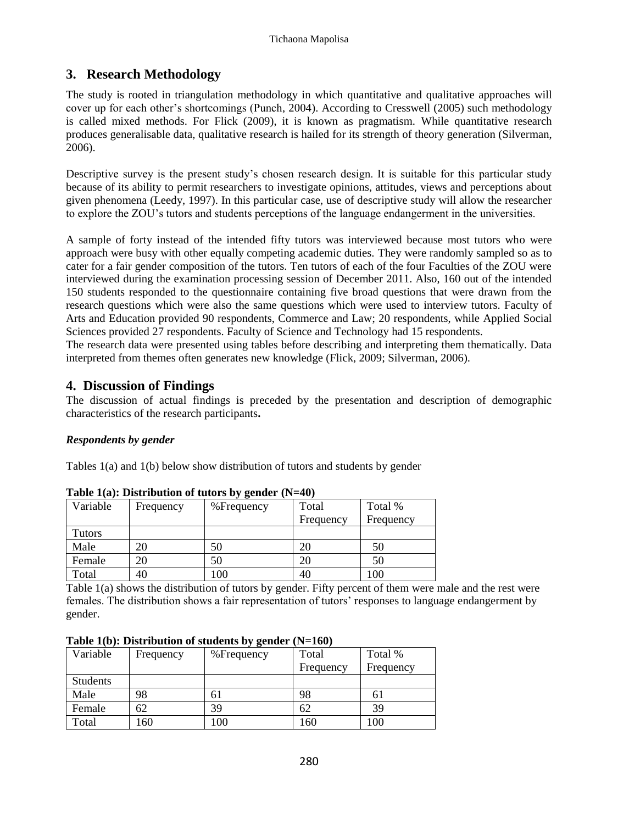## **3. Research Methodology**

The study is rooted in triangulation methodology in which quantitative and qualitative approaches will cover up for each other's shortcomings (Punch, 2004). According to Cresswell (2005) such methodology is called mixed methods. For Flick (2009), it is known as pragmatism. While quantitative research produces generalisable data, qualitative research is hailed for its strength of theory generation (Silverman, 2006).

Descriptive survey is the present study's chosen research design. It is suitable for this particular study because of its ability to permit researchers to investigate opinions, attitudes, views and perceptions about given phenomena (Leedy, 1997). In this particular case, use of descriptive study will allow the researcher to explore the ZOU's tutors and students perceptions of the language endangerment in the universities.

A sample of forty instead of the intended fifty tutors was interviewed because most tutors who were approach were busy with other equally competing academic duties. They were randomly sampled so as to cater for a fair gender composition of the tutors. Ten tutors of each of the four Faculties of the ZOU were interviewed during the examination processing session of December 2011. Also, 160 out of the intended 150 students responded to the questionnaire containing five broad questions that were drawn from the research questions which were also the same questions which were used to interview tutors. Faculty of Arts and Education provided 90 respondents, Commerce and Law; 20 respondents, while Applied Social Sciences provided 27 respondents. Faculty of Science and Technology had 15 respondents.

The research data were presented using tables before describing and interpreting them thematically. Data interpreted from themes often generates new knowledge (Flick, 2009; Silverman, 2006).

## **4. Discussion of Findings**

The discussion of actual findings is preceded by the presentation and description of demographic characteristics of the research participants**.**

#### *Respondents by gender*

Tables 1(a) and 1(b) below show distribution of tutors and students by gender

| Variable      | Frequency | %Frequency | Total     | Total %   |
|---------------|-----------|------------|-----------|-----------|
|               |           |            | Frequency | Frequency |
| <b>Tutors</b> |           |            |           |           |
| Male          | 20        | 50         | 20        | 50        |
| Female        | 20        | 50         | 20        | 50        |
| Total         | 40        | 100        | 40        | 100       |

|  | Table $1(a)$ : Distribution of tutors by gender (N=40) |  |  |
|--|--------------------------------------------------------|--|--|
|  |                                                        |  |  |

Table 1(a) shows the distribution of tutors by gender. Fifty percent of them were male and the rest were females. The distribution shows a fair representation of tutors' responses to language endangerment by gender.

| Variable        | Frequency | -- - J a---<br>%Frequency | Total     | Total %   |
|-----------------|-----------|---------------------------|-----------|-----------|
|                 |           |                           | Frequency | Frequency |
| <b>Students</b> |           |                           |           |           |
| Male            | 98        | 61                        | 98        | 61        |
| Female          | 62        | 39                        | 62        | 39        |
| Total           | 160       | 100                       | 160       | 100       |

**Table 1(b): Distribution of students by gender (N=160)**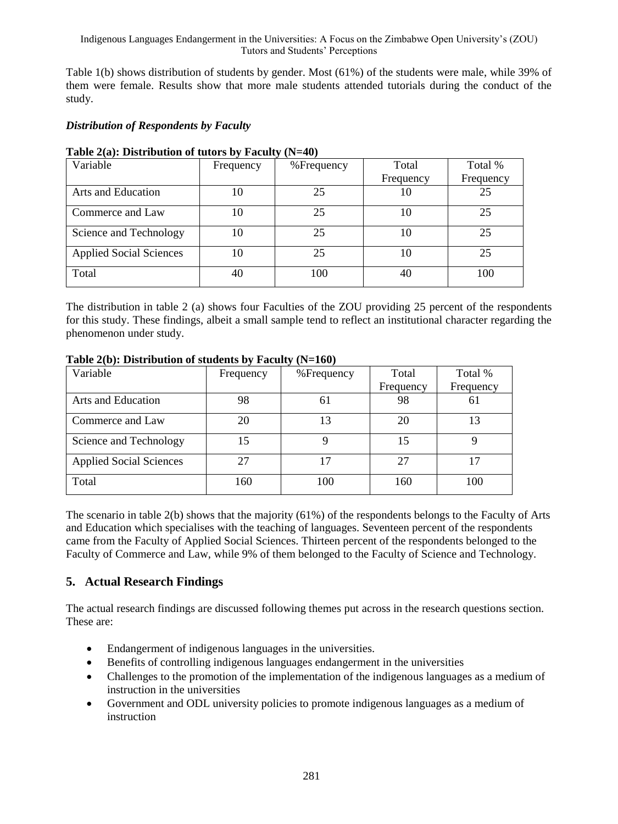Table 1(b) shows distribution of students by gender. Most (61%) of the students were male, while 39% of them were female. Results show that more male students attended tutorials during the conduct of the study.

## *Distribution of Respondents by Faculty*

| Variable                       | Frequency | % Frequency | Total     | Total %   |
|--------------------------------|-----------|-------------|-----------|-----------|
|                                |           |             | Frequency | Frequency |
| Arts and Education             | 10        | 25          | 10        | 25        |
| Commerce and Law               | 10        | 25          | 10        | 25        |
| Science and Technology         | 10        | 25          | 10        | 25        |
| <b>Applied Social Sciences</b> | 10        | 25          | 10        | 25        |
| Total                          | 40        | 100         | 40        | 100       |

#### **Table 2(a): Distribution of tutors by Faculty (N=40)**

The distribution in table 2 (a) shows four Faculties of the ZOU providing 25 percent of the respondents for this study. These findings, albeit a small sample tend to reflect an institutional character regarding the phenomenon under study.

| Variable                       | Frequency | %Frequency | Total     | Total %   |
|--------------------------------|-----------|------------|-----------|-----------|
|                                |           |            | Frequency | Frequency |
| Arts and Education             | 98        | 61         | 98        | 61        |
| Commerce and Law               | 20        | 13         | 20        | 13        |
| Science and Technology         | 15        |            | 15        |           |
| <b>Applied Social Sciences</b> | 27        | 17         | 27        | 17        |
| Total                          | 160       | 100        | 160       | 100       |

#### **Table 2(b): Distribution of students by Faculty (N=160)**

The scenario in table 2(b) shows that the majority (61%) of the respondents belongs to the Faculty of Arts and Education which specialises with the teaching of languages. Seventeen percent of the respondents came from the Faculty of Applied Social Sciences. Thirteen percent of the respondents belonged to the Faculty of Commerce and Law, while 9% of them belonged to the Faculty of Science and Technology.

## **5. Actual Research Findings**

The actual research findings are discussed following themes put across in the research questions section. These are:

- Endangerment of indigenous languages in the universities.
- Benefits of controlling indigenous languages endangerment in the universities
- Challenges to the promotion of the implementation of the indigenous languages as a medium of instruction in the universities
- Government and ODL university policies to promote indigenous languages as a medium of instruction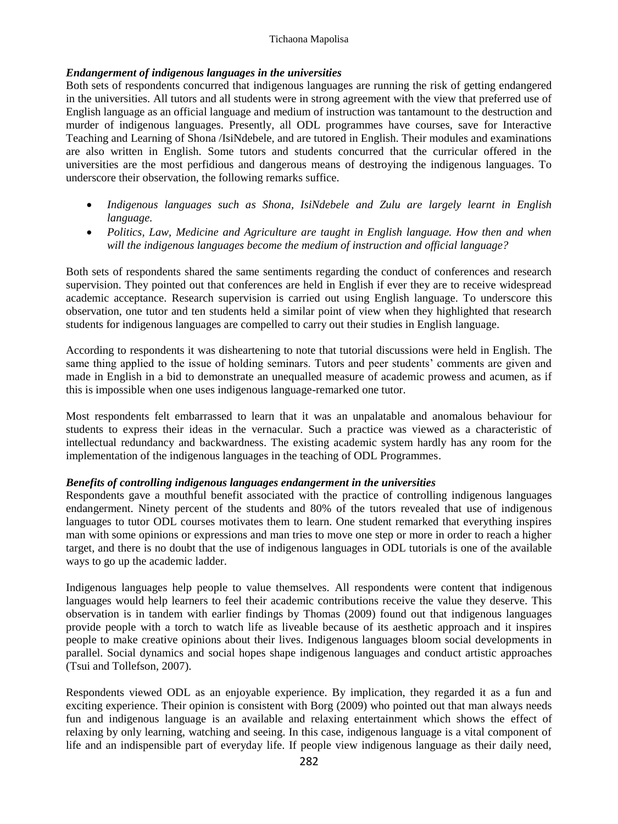#### Tichaona Mapolisa

#### *Endangerment of indigenous languages in the universities*

Both sets of respondents concurred that indigenous languages are running the risk of getting endangered in the universities. All tutors and all students were in strong agreement with the view that preferred use of English language as an official language and medium of instruction was tantamount to the destruction and murder of indigenous languages. Presently, all ODL programmes have courses, save for Interactive Teaching and Learning of Shona /IsiNdebele, and are tutored in English. Their modules and examinations are also written in English. Some tutors and students concurred that the curricular offered in the universities are the most perfidious and dangerous means of destroying the indigenous languages. To underscore their observation, the following remarks suffice.

- *Indigenous languages such as Shona, IsiNdebele and Zulu are largely learnt in English language.*
- Politics, Law, Medicine and Agriculture are taught in English language. How then and when *will the indigenous languages become the medium of instruction and official language?*

Both sets of respondents shared the same sentiments regarding the conduct of conferences and research supervision. They pointed out that conferences are held in English if ever they are to receive widespread academic acceptance. Research supervision is carried out using English language. To underscore this observation, one tutor and ten students held a similar point of view when they highlighted that research students for indigenous languages are compelled to carry out their studies in English language.

According to respondents it was disheartening to note that tutorial discussions were held in English. The same thing applied to the issue of holding seminars. Tutors and peer students' comments are given and made in English in a bid to demonstrate an unequalled measure of academic prowess and acumen, as if this is impossible when one uses indigenous language-remarked one tutor.

Most respondents felt embarrassed to learn that it was an unpalatable and anomalous behaviour for students to express their ideas in the vernacular. Such a practice was viewed as a characteristic of intellectual redundancy and backwardness. The existing academic system hardly has any room for the implementation of the indigenous languages in the teaching of ODL Programmes.

#### *Benefits of controlling indigenous languages endangerment in the universities*

Respondents gave a mouthful benefit associated with the practice of controlling indigenous languages endangerment. Ninety percent of the students and 80% of the tutors revealed that use of indigenous languages to tutor ODL courses motivates them to learn. One student remarked that everything inspires man with some opinions or expressions and man tries to move one step or more in order to reach a higher target, and there is no doubt that the use of indigenous languages in ODL tutorials is one of the available ways to go up the academic ladder.

Indigenous languages help people to value themselves. All respondents were content that indigenous languages would help learners to feel their academic contributions receive the value they deserve. This observation is in tandem with earlier findings by Thomas (2009) found out that indigenous languages provide people with a torch to watch life as liveable because of its aesthetic approach and it inspires people to make creative opinions about their lives. Indigenous languages bloom social developments in parallel. Social dynamics and social hopes shape indigenous languages and conduct artistic approaches (Tsui and Tollefson, 2007).

Respondents viewed ODL as an enjoyable experience. By implication, they regarded it as a fun and exciting experience. Their opinion is consistent with Borg (2009) who pointed out that man always needs fun and indigenous language is an available and relaxing entertainment which shows the effect of relaxing by only learning, watching and seeing. In this case, indigenous language is a vital component of life and an indispensible part of everyday life. If people view indigenous language as their daily need,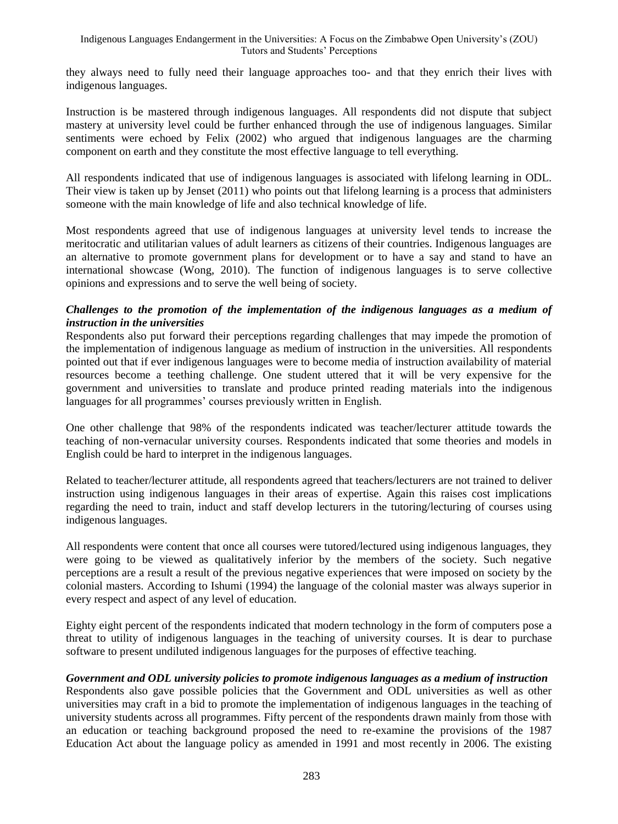they always need to fully need their language approaches too- and that they enrich their lives with indigenous languages.

Instruction is be mastered through indigenous languages. All respondents did not dispute that subject mastery at university level could be further enhanced through the use of indigenous languages. Similar sentiments were echoed by Felix (2002) who argued that indigenous languages are the charming component on earth and they constitute the most effective language to tell everything.

All respondents indicated that use of indigenous languages is associated with lifelong learning in ODL. Their view is taken up by Jenset (2011) who points out that lifelong learning is a process that administers someone with the main knowledge of life and also technical knowledge of life.

Most respondents agreed that use of indigenous languages at university level tends to increase the meritocratic and utilitarian values of adult learners as citizens of their countries. Indigenous languages are an alternative to promote government plans for development or to have a say and stand to have an international showcase (Wong, 2010). The function of indigenous languages is to serve collective opinions and expressions and to serve the well being of society.

#### *Challenges to the promotion of the implementation of the indigenous languages as a medium of instruction in the universities*

Respondents also put forward their perceptions regarding challenges that may impede the promotion of the implementation of indigenous language as medium of instruction in the universities. All respondents pointed out that if ever indigenous languages were to become media of instruction availability of material resources become a teething challenge. One student uttered that it will be very expensive for the government and universities to translate and produce printed reading materials into the indigenous languages for all programmes' courses previously written in English.

One other challenge that 98% of the respondents indicated was teacher/lecturer attitude towards the teaching of non-vernacular university courses. Respondents indicated that some theories and models in English could be hard to interpret in the indigenous languages.

Related to teacher/lecturer attitude, all respondents agreed that teachers/lecturers are not trained to deliver instruction using indigenous languages in their areas of expertise. Again this raises cost implications regarding the need to train, induct and staff develop lecturers in the tutoring/lecturing of courses using indigenous languages.

All respondents were content that once all courses were tutored/lectured using indigenous languages, they were going to be viewed as qualitatively inferior by the members of the society. Such negative perceptions are a result a result of the previous negative experiences that were imposed on society by the colonial masters. According to Ishumi (1994) the language of the colonial master was always superior in every respect and aspect of any level of education.

Eighty eight percent of the respondents indicated that modern technology in the form of computers pose a threat to utility of indigenous languages in the teaching of university courses. It is dear to purchase software to present undiluted indigenous languages for the purposes of effective teaching.

#### *Government and ODL university policies to promote indigenous languages as a medium of instruction*

Respondents also gave possible policies that the Government and ODL universities as well as other universities may craft in a bid to promote the implementation of indigenous languages in the teaching of university students across all programmes. Fifty percent of the respondents drawn mainly from those with an education or teaching background proposed the need to re-examine the provisions of the 1987 Education Act about the language policy as amended in 1991 and most recently in 2006. The existing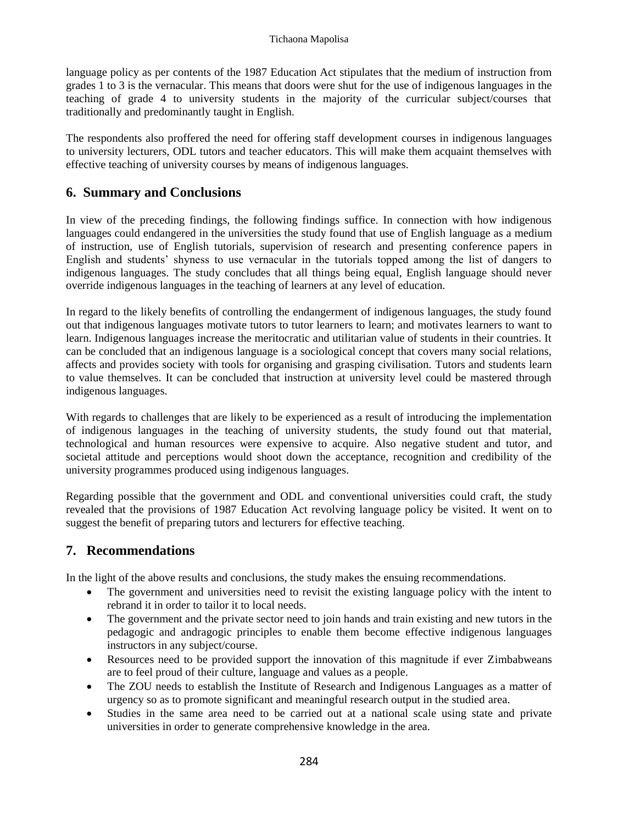language policy as per contents of the 1987 Education Act stipulates that the medium of instruction from grades 1 to 3 is the vernacular. This means that doors were shut for the use of indigenous languages in the teaching of grade 4 to university students in the majority of the curricular subject/courses that traditionally and predominantly taught in English.

The respondents also proffered the need for offering staff development courses in indigenous languages to university lecturers, ODL tutors and teacher educators. This will make them acquaint themselves with effective teaching of university courses by means of indigenous languages.

## **6. Summary and Conclusions**

In view of the preceding findings, the following findings suffice. In connection with how indigenous languages could endangered in the universities the study found that use of English language as a medium of instruction, use of English tutorials, supervision of research and presenting conference papers in English and students' shyness to use vernacular in the tutorials topped among the list of dangers to indigenous languages. The study concludes that all things being equal, English language should never override indigenous languages in the teaching of learners at any level of education.

In regard to the likely benefits of controlling the endangerment of indigenous languages, the study found out that indigenous languages motivate tutors to tutor learners to learn; and motivates learners to want to learn. Indigenous languages increase the meritocratic and utilitarian value of students in their countries. It can be concluded that an indigenous language is a sociological concept that covers many social relations, affects and provides society with tools for organising and grasping civilisation. Tutors and students learn to value themselves. It can be concluded that instruction at university level could be mastered through indigenous languages.

With regards to challenges that are likely to be experienced as a result of introducing the implementation of indigenous languages in the teaching of university students, the study found out that material, technological and human resources were expensive to acquire. Also negative student and tutor, and societal attitude and perceptions would shoot down the acceptance, recognition and credibility of the university programmes produced using indigenous languages.

Regarding possible that the government and ODL and conventional universities could craft, the study revealed that the provisions of 1987 Education Act revolving language policy be visited. It went on to suggest the benefit of preparing tutors and lecturers for effective teaching.

## **7. Recommendations**

In the light of the above results and conclusions, the study makes the ensuing recommendations.

- The government and universities need to revisit the existing language policy with the intent to rebrand it in order to tailor it to local needs.
- The government and the private sector need to join hands and train existing and new tutors in the pedagogic and andragogic principles to enable them become effective indigenous languages instructors in any subject/course.
- Resources need to be provided support the innovation of this magnitude if ever Zimbabweans are to feel proud of their culture, language and values as a people.
- The ZOU needs to establish the Institute of Research and Indigenous Languages as a matter of urgency so as to promote significant and meaningful research output in the studied area.
- Studies in the same area need to be carried out at a national scale using state and private universities in order to generate comprehensive knowledge in the area.